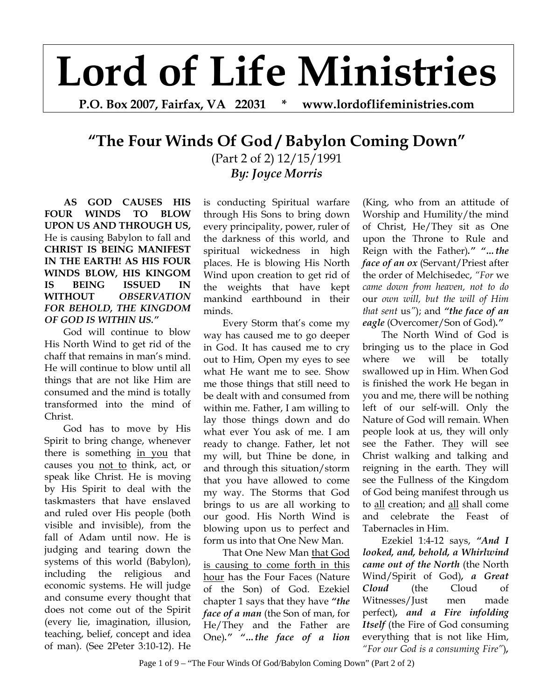## **Lord of Life Ministries**

**P.O. Box 2007, Fairfax, VA 22031 \* www.lordoflifeministries.com** 

## **"The Four Winds Of God / Babylon Coming Down"**

(Part 2 of 2) 12/15/1991 *By: Joyce Morris*

**AS GOD CAUSES HIS FOUR WINDS TO BLOW UPON US AND THROUGH US,**  He is causing Babylon to fall and **CHRIST IS BEING MANIFEST IN THE EARTH! AS HIS FOUR WINDS BLOW, HIS KINGOM IS BEING ISSUED IN WITHOUT** *OBSERVATION FOR BEHOLD, THE KINGDOM OF GOD IS WITHIN US."*

God will continue to blow His North Wind to get rid of the chaff that remains in man's mind. He will continue to blow until all things that are not like Him are consumed and the mind is totally transformed into the mind of Christ.

God has to move by His Spirit to bring change, whenever there is something in you that causes you not to think, act, or speak like Christ. He is moving by His Spirit to deal with the taskmasters that have enslaved and ruled over His people (both visible and invisible), from the fall of Adam until now. He is judging and tearing down the systems of this world (Babylon), including the religious and economic systems. He will judge and consume every thought that does not come out of the Spirit (every lie, imagination, illusion, teaching, belief, concept and idea of man). (See 2Peter 3:10-12). He

is conducting Spiritual warfare through His Sons to bring down every principality, power, ruler of the darkness of this world, and spiritual wickedness in high places. He is blowing His North Wind upon creation to get rid of the weights that have kept mankind earthbound in their minds.

Every Storm that's come my way has caused me to go deeper in God. It has caused me to cry out to Him, Open my eyes to see what He want me to see. Show me those things that still need to be dealt with and consumed from within me. Father, I am willing to lay those things down and do what ever You ask of me. I am ready to change. Father, let not my will, but Thine be done, in and through this situation/storm that you have allowed to come my way. The Storms that God brings to us are all working to our good. His North Wind is blowing upon us to perfect and form us into that One New Man.

That One New Man that God is causing to come forth in this hour has the Four Faces (Nature of the Son) of God. Ezekiel chapter 1 says that they have *"the face of a man* (the Son of man, for He/They and the Father are One)*." "…the face of a lion*

(King, who from an attitude of Worship and Humility/the mind of Christ, He/They sit as One upon the Throne to Rule and Reign with the Father)*." "…the face of an ox* (Servant/Priest after the order of Melchisedec, *"For* we *came down from heaven, not to do*  our *own will, but the will of Him that sent* us*"*); and *"the face of an eagle* (Overcomer/Son of God)*."*

The North Wind of God is bringing us to the place in God where we will be totally swallowed up in Him. When God is finished the work He began in you and me, there will be nothing left of our self-will. Only the Nature of God will remain. When people look at us, they will only see the Father. They will see Christ walking and talking and reigning in the earth. They will see the Fullness of the Kingdom of God being manifest through us to all creation; and all shall come and celebrate the Feast of Tabernacles in Him.

Ezekiel 1:4-12 says, *"And I looked, and, behold, a Whirlwind came out of the North* (the North Wind/Spirit of God)*, a Great Cloud* (the Cloud of Witnesses/Just men made perfect)*, and a Fire infolding Itself* (the Fire of God consuming everything that is not like Him, *"For our God is a consuming Fire"*)*,*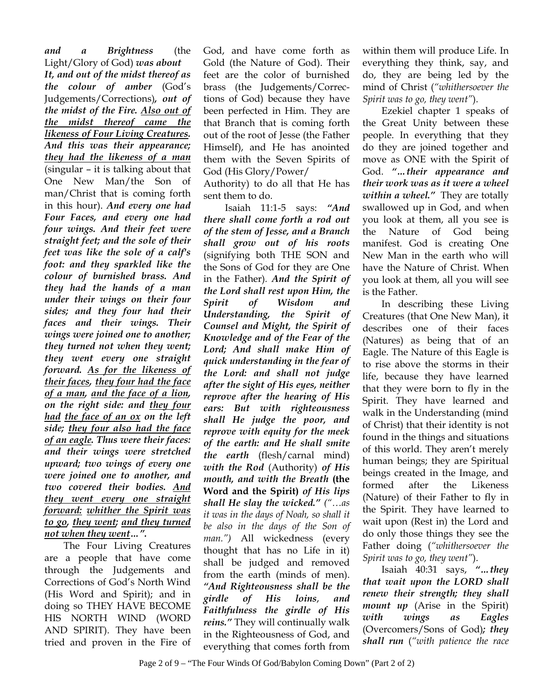*and a Brightness* (the Light/Glory of God) *was about It, and out of the midst thereof as the colour of amber* (God's Judgements/Corrections)*, out of the midst of the Fire. Also out of the midst thereof came the likeness of Four Living Creatures. And this was their appearance; they had the likeness of a man* (singular – it is talking about that One New Man/the Son of man/Christ that is coming forth in this hour). *And every one had Four Faces, and every one had four wings. And their feet were straight feet; and the sole of their feet was like the sole of a calf's foot: and they sparkled like the colour of burnished brass. And they had the hands of a man under their wings on their four sides; and they four had their faces and their wings. Their wings were joined one to another; they turned not when they went; they went every one straight forward. As for the likeness of their faces, they four had the face of a man, and the face of a lion, on the right side: and they four had the face of an ox on the left side; they four also had the face of an eagle. Thus were their faces: and their wings were stretched upward; two wings of every one were joined one to another, and two covered their bodies. And they went every one straight forward: whither the Spirit was to go, they went; and they turned not when they went…".* 

The Four Living Creatures are a people that have come through the Judgements and Corrections of God's North Wind (His Word and Spirit); and in doing so THEY HAVE BECOME HIS NORTH WIND (WORD AND SPIRIT). They have been tried and proven in the Fire of

God, and have come forth as Gold (the Nature of God). Their feet are the color of burnished brass (the Judgements/Corrections of God) because they have been perfected in Him. They are that Branch that is coming forth out of the root of Jesse (the Father Himself), and He has anointed them with the Seven Spirits of God (His Glory/Power/

Authority) to do all that He has sent them to do.

 Isaiah 11:1-5 says: *"And there shall come forth a rod out of the stem of Jesse, and a Branch shall grow out of his roots* (signifying both THE SON and the Sons of God for they are One in the Father)*. And the Spirit of the Lord shall rest upon Him, the Spirit of Wisdom and Understanding, the Spirit of Counsel and Might, the Spirit of Knowledge and of the Fear of the Lord; And shall make Him of quick understanding in the fear of the Lord: and shall not judge after the sight of His eyes, neither reprove after the hearing of His ears: But with righteousness shall He judge the poor, and reprove with equity for the meek of the earth: and He shall smite the earth* (flesh/carnal mind) *with the Rod* (Authority) *of His mouth, and with the Breath* **(the Word and the Spirit)** *of His lips shall He slay the wicked." ("…as it was in the days of Noah, so shall it be also in the days of the Son of man.")* All wickedness (every thought that has no Life in it) shall be judged and removed from the earth (minds of men). *"And Righteousness shall be the girdle of His loins*, *and Faithfulness the girdle of His reins."* They will continually walk in the Righteousness of God, and everything that comes forth from

within them will produce Life. In everything they think, say, and do, they are being led by the mind of Christ (*"whithersoever the Spirit was to go, they went"*).

Ezekiel chapter 1 speaks of the Great Unity between these people. In everything that they do they are joined together and move as ONE with the Spirit of God. *"…their appearance and their work was as it were a wheel within a wheel."* They are totally swallowed up in God, and when you look at them, all you see is the Nature of God being manifest. God is creating One New Man in the earth who will have the Nature of Christ. When you look at them, all you will see is the Father.

In describing these Living Creatures (that One New Man), it describes one of their faces (Natures) as being that of an Eagle. The Nature of this Eagle is to rise above the storms in their life, because they have learned that they were born to fly in the Spirit. They have learned and walk in the Understanding (mind of Christ) that their identity is not found in the things and situations of this world. They aren't merely human beings; they are Spiritual beings created in the Image, and formed after the Likeness (Nature) of their Father to fly in the Spirit. They have learned to wait upon (Rest in) the Lord and do only those things they see the Father doing (*"whithersoever the Spirit was to go, they went"*).

Isaiah 40:31 says, *"…they that wait upon the LORD shall renew their strength; they shall mount up* (Arise in the Spirit) *with wings as Eagles* (Overcomers/Sons of God)*; they shall run* (*"with patience the race*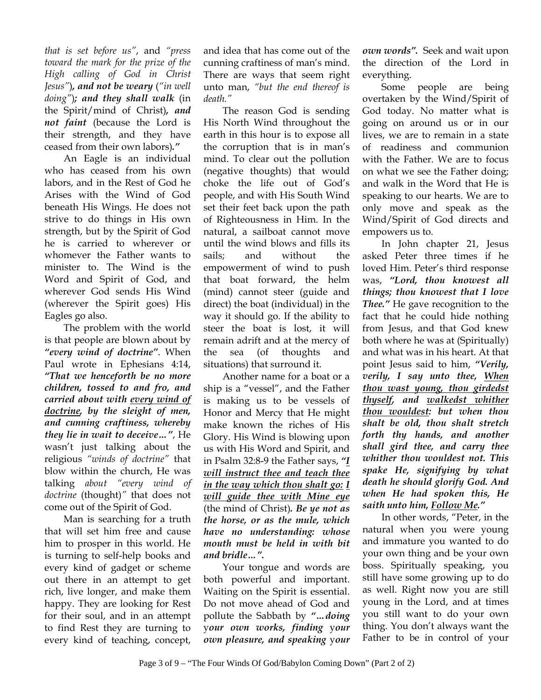*that is set before us"*, and *"press toward the mark for the prize of the High calling of God in Christ Jesus"*)*, and not be weary* (*"in well doing"*)*; and they shall walk* (in the Spirit/mind of Christ)*, and not faint* (because the Lord is their strength, and they have ceased from their own labors)*."*

An Eagle is an individual who has ceased from his own labors, and in the Rest of God he Arises with the Wind of God beneath His Wings. He does not strive to do things in His own strength, but by the Spirit of God he is carried to wherever or whomever the Father wants to minister to. The Wind is the Word and Spirit of God, and wherever God sends His Wind (wherever the Spirit goes) His Eagles go also.

The problem with the world is that people are blown about by *"every wind of doctrine"*. When Paul wrote in Ephesians 4:14, *"That we henceforth be no more children, tossed to and fro, and carried about with every wind of doctrine, by the sleight of men, and cunning craftiness, whereby they lie in wait to deceive…"*, He wasn't just talking about the religious *"winds of doctrine"* that blow within the church, He was talking *about "every wind of doctrine* (thought)*"* that does not come out of the Spirit of God.

Man is searching for a truth that will set him free and cause him to prosper in this world. He is turning to self-help books and every kind of gadget or scheme out there in an attempt to get rich, live longer, and make them happy. They are looking for Rest for their soul, and in an attempt to find Rest they are turning to every kind of teaching, concept,

and idea that has come out of the cunning craftiness of man's mind. There are ways that seem right unto man, *"but the end thereof is death."*

The reason God is sending His North Wind throughout the earth in this hour is to expose all the corruption that is in man's mind. To clear out the pollution (negative thoughts) that would choke the life out of God's people, and with His South Wind set their feet back upon the path of Righteousness in Him. In the natural, a sailboat cannot move until the wind blows and fills its sails; and without the empowerment of wind to push that boat forward, the helm (mind) cannot steer (guide and direct) the boat (individual) in the way it should go. If the ability to steer the boat is lost, it will remain adrift and at the mercy of the sea (of thoughts and situations) that surround it.

Another name for a boat or a ship is a "vessel", and the Father is making us to be vessels of Honor and Mercy that He might make known the riches of His Glory. His Wind is blowing upon us with His Word and Spirit, and in Psalm 32:8-9 the Father says, *"I will instruct thee and teach thee in the way which thou shalt go: I will guide thee with Mine eye* (the mind of Christ)*. Be ye not as the horse, or as the mule, which have no understanding: whose mouth must be held in with bit and bridle…".*

Your tongue and words are both powerful and important. Waiting on the Spirit is essential. Do not move ahead of God and pollute the Sabbath by *"…doing*  y*our own works, finding* y*our own pleasure, and speaking* y*our* 

*own words".* Seek and wait upon the direction of the Lord in everything.

Some people are being overtaken by the Wind/Spirit of God today. No matter what is going on around us or in our lives, we are to remain in a state of readiness and communion with the Father. We are to focus on what we see the Father doing; and walk in the Word that He is speaking to our hearts. We are to only move and speak as the Wind/Spirit of God directs and empowers us to.

In John chapter 21, Jesus asked Peter three times if he loved Him. Peter's third response was, *"Lord, thou knowest all things; thou knowest that I love Thee."* He gave recognition to the fact that he could hide nothing from Jesus, and that God knew both where he was at (Spiritually) and what was in his heart. At that point Jesus said to him, *"Verily, verily, I say unto thee, When thou wast young, thou girdedst thyself, and walkedst whither thou wouldest: but when thou shalt be old, thou shalt stretch forth thy hands, and another shall gird thee, and carry thee whither thou wouldest not. This spake He, signifying by what death he should glorify God. And when He had spoken this, He saith unto him, Follow Me."* 

In other words, "Peter, in the natural when you were young and immature you wanted to do your own thing and be your own boss. Spiritually speaking, you still have some growing up to do as well. Right now you are still young in the Lord, and at times you still want to do your own thing. You don't always want the Father to be in control of your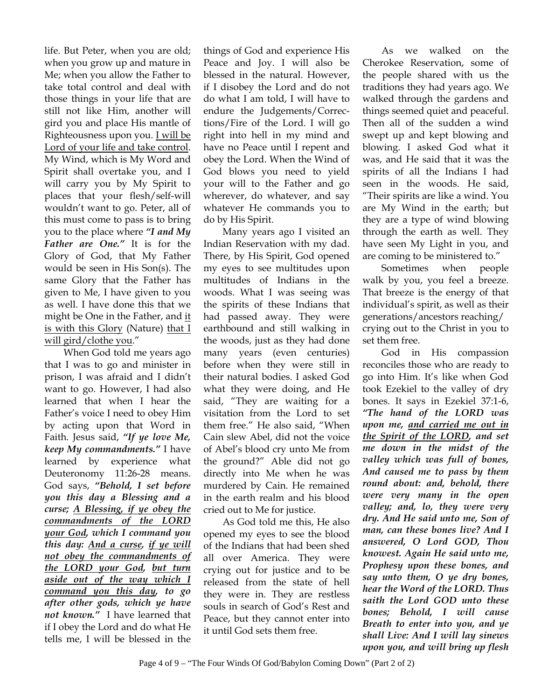life. But Peter, when you are old; when you grow up and mature in Me; when you allow the Father to take total control and deal with those things in your life that are still not like Him, another will gird you and place His mantle of Righteousness upon you. I will be Lord of your life and take control. My Wind, which is My Word and Spirit shall overtake you, and I will carry you by My Spirit to places that your flesh/self-will wouldn't want to go. Peter, all of this must come to pass is to bring you to the place where *"I and My Father are One."* It is for the Glory of God, that My Father would be seen in His Son(s). The same Glory that the Father has given to Me, I have given to you as well. I have done this that we might be One in the Father, and it is with this Glory (Nature) that I will gird/clothe you."

When God told me years ago that I was to go and minister in prison, I was afraid and I didn't want to go. However, I had also learned that when I hear the Father's voice I need to obey Him by acting upon that Word in Faith. Jesus said, *"If ye love Me, keep My commandments."* I have learned by experience what Deuteronomy 11:26-28 means. God says, *"Behold, I set before you this day a Blessing and a curse; A Blessing, if ye obey the commandments of the LORD your God, which I command you this day: And a curse, if ye will not obey the commandments of the LORD your God, but turn aside out of the way which I command you this day, to go after other gods, which ye have not known."* I have learned that if I obey the Lord and do what He tells me, I will be blessed in the

things of God and experience His Peace and Joy. I will also be blessed in the natural. However, if I disobey the Lord and do not do what I am told, I will have to endure the Judgements/Corrections/Fire of the Lord. I will go right into hell in my mind and have no Peace until I repent and obey the Lord. When the Wind of God blows you need to yield your will to the Father and go wherever, do whatever, and say whatever He commands you to do by His Spirit.

Many years ago I visited an Indian Reservation with my dad. There, by His Spirit, God opened my eyes to see multitudes upon multitudes of Indians in the woods. What I was seeing was the spirits of these Indians that had passed away. They were earthbound and still walking in the woods, just as they had done many years (even centuries) before when they were still in their natural bodies. I asked God what they were doing, and He said, "They are waiting for a visitation from the Lord to set them free." He also said, "When Cain slew Abel, did not the voice of Abel's blood cry unto Me from the ground?" Able did not go directly into Me when he was murdered by Cain. He remained in the earth realm and his blood cried out to Me for justice.

As God told me this, He also opened my eyes to see the blood of the Indians that had been shed all over America. They were crying out for justice and to be released from the state of hell they were in. They are restless souls in search of God's Rest and Peace, but they cannot enter into it until God sets them free.

As we walked on the Cherokee Reservation, some of the people shared with us the traditions they had years ago. We walked through the gardens and things seemed quiet and peaceful. Then all of the sudden a wind swept up and kept blowing and blowing. I asked God what it was, and He said that it was the spirits of all the Indians I had seen in the woods. He said, "Their spirits are like a wind. You are My Wind in the earth; but they are a type of wind blowing through the earth as well. They have seen My Light in you, and are coming to be ministered to."

Sometimes when people walk by you, you feel a breeze. That breeze is the energy of that individual's spirit, as well as their generations/ancestors reaching/ crying out to the Christ in you to set them free.

God in His compassion reconciles those who are ready to go into Him. It's like when God took Ezekiel to the valley of dry bones. It says in Ezekiel 37:1-6, *"The hand of the LORD was upon me, and carried me out in the Spirit of the LORD, and set me down in the midst of the valley which was full of bones, And caused me to pass by them round about: and, behold, there were very many in the open valley; and, lo, they were very dry. And He said unto me, Son of man, can these bones live? And I answered, O Lord GOD, Thou knowest. Again He said unto me, Prophesy upon these bones, and say unto them, O ye dry bones, hear the Word of the LORD. Thus saith the Lord GOD unto these bones; Behold, I will cause Breath to enter into you, and ye shall Live: And I will lay sinews upon you, and will bring up flesh*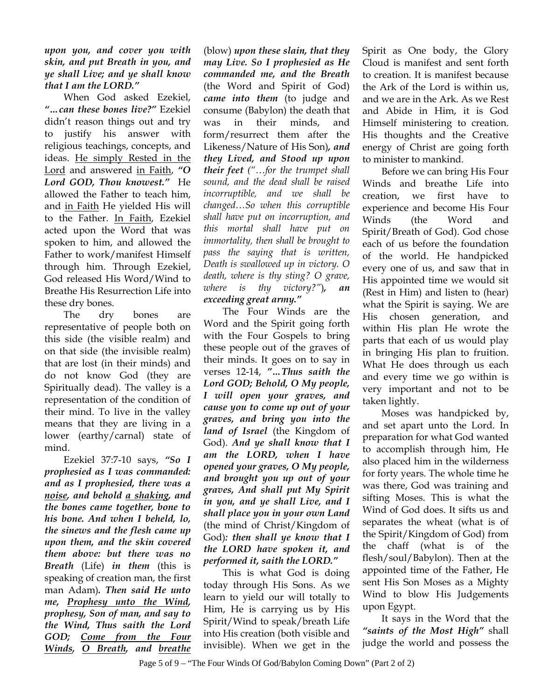## *upon you, and cover you with skin, and put Breath in you, and ye shall Live; and ye shall know that I am the LORD."*

When God asked Ezekiel, *"…can these bones live?"* Ezekiel didn't reason things out and try to justify his answer with religious teachings, concepts, and ideas. He simply Rested in the Lord and answered in Faith, *"O Lord GOD, Thou knowest."* He allowed the Father to teach him, and in Faith He yielded His will to the Father. In Faith, Ezekiel acted upon the Word that was spoken to him, and allowed the Father to work/manifest Himself through him. Through Ezekiel, God released His Word/Wind to Breathe His Resurrection Life into these dry bones.

The dry bones are representative of people both on this side (the visible realm) and on that side (the invisible realm) that are lost (in their minds) and do not know God (they are Spiritually dead). The valley is a representation of the condition of their mind. To live in the valley means that they are living in a lower (earthy/carnal) state of mind.

Ezekiel 37:7-10 says, *"So I prophesied as I was commanded: and as I prophesied, there was a noise, and behold a shaking, and the bones came together, bone to his bone. And when I beheld, lo, the sinews and the flesh came up upon them, and the skin covered them above: but there was no Breath* (Life) *in them* (this is speaking of creation man, the first man Adam)*. Then said He unto me, Prophesy unto the Wind, prophesy, Son of man, and say to the Wind, Thus saith the Lord GOD; Come from the Four Winds, O Breath, and breathe*

(blow) *upon these slain, that they may Live. So I prophesied as He commanded me, and the Breath*  (the Word and Spirit of God) *came into them* (to judge and consume (Babylon) the death that was in their minds, and form/resurrect them after the Likeness/Nature of His Son)*, and they Lived, and Stood up upon their feet ("…for the trumpet shall sound, and the dead shall be raised incorruptible, and we shall be changed…So when this corruptible shall have put on incorruption, and this mortal shall have put on immortality, then shall be brought to pass the saying that is written, Death is swallowed up in victory. O death, where is thy sting? O grave, where is thy victory?"*)*, an exceeding great army."*

The Four Winds are the Word and the Spirit going forth with the Four Gospels to bring these people out of the graves of their minds. It goes on to say in verses 12-14, *"…Thus saith the Lord GOD; Behold, O My people, I will open your graves, and cause you to come up out of your graves, and bring you into the land of Israel* (the Kingdom of God). *And ye shall know that I am the LORD, when I have opened your graves, O My people, and brought you up out of your graves, And shall put My Spirit in you, and ye shall Live, and I shall place you in your own Land*  (the mind of Christ/Kingdom of God)*: then shall ye know that I the LORD have spoken it, and performed it, saith the LORD."*

This is what God is doing today through His Sons. As we learn to yield our will totally to Him, He is carrying us by His Spirit/Wind to speak/breath Life into His creation (both visible and invisible). When we get in the

Spirit as One body, the Glory Cloud is manifest and sent forth to creation. It is manifest because the Ark of the Lord is within us, and we are in the Ark. As we Rest and Abide in Him, it is God Himself ministering to creation. His thoughts and the Creative energy of Christ are going forth to minister to mankind.

 Before we can bring His Four Winds and breathe Life into creation, we first have to experience and become His Four Winds (the Word and Spirit/Breath of God). God chose each of us before the foundation of the world. He handpicked every one of us, and saw that in His appointed time we would sit (Rest in Him) and listen to (hear) what the Spirit is saying. We are His chosen generation, and within His plan He wrote the parts that each of us would play in bringing His plan to fruition. What He does through us each and every time we go within is very important and not to be taken lightly.

 Moses was handpicked by, and set apart unto the Lord. In preparation for what God wanted to accomplish through him, He also placed him in the wilderness for forty years. The whole time he was there, God was training and sifting Moses. This is what the Wind of God does. It sifts us and separates the wheat (what is of the Spirit/Kingdom of God) from the chaff (what is of the flesh/soul/Babylon). Then at the appointed time of the Father, He sent His Son Moses as a Mighty Wind to blow His Judgements upon Egypt.

 It says in the Word that the *"saints of the Most High"* shall judge the world and possess the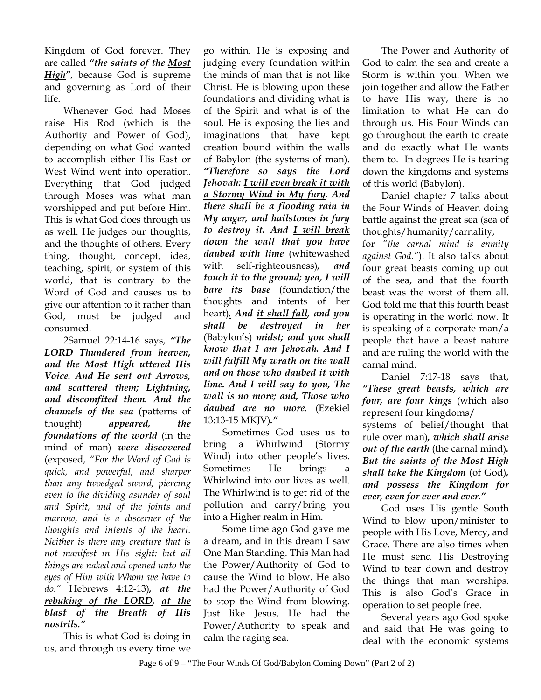Kingdom of God forever. They are called *"the saints of the Most High"*, because God is supreme and governing as Lord of their life.

 Whenever God had Moses raise His Rod (which is the Authority and Power of God), depending on what God wanted to accomplish either His East or West Wind went into operation. Everything that God judged through Moses was what man worshipped and put before Him. This is what God does through us as well. He judges our thoughts, and the thoughts of others. Every thing, thought, concept, idea, teaching, spirit, or system of this world, that is contrary to the Word of God and causes us to give our attention to it rather than God, must be judged and consumed.

 2Samuel 22:14-16 says, *"The LORD Thundered from heaven, and the Most High uttered His Voice. And He sent out Arrows, and scattered them; Lightning, and discomfited them. And the channels of the sea* (patterns of thought) *appeared, the foundations of the world* (in the mind of man) *were discovered* (exposed, *"For the Word of God is quick, and powerful, and sharper than any twoedged sword, piercing even to the dividing asunder of soul and Spirit, and of the joints and marrow, and is a discerner of the thoughts and intents of the heart. Neither is there any creature that is not manifest in His sight: but all things are naked and opened unto the eyes of Him with Whom we have to do."* Hebrews 4:12-13)*, at the rebuking of the LORD, at the blast of the Breath of His nostrils."*

 This is what God is doing in us, and through us every time we

go within. He is exposing and judging every foundation within the minds of man that is not like Christ. He is blowing upon these foundations and dividing what is of the Spirit and what is of the soul. He is exposing the lies and imaginations that have kept creation bound within the walls of Babylon (the systems of man). *"Therefore so says the Lord Jehovah: I will even break it with a Stormy Wind in My fury. And there shall be a flooding rain in My anger, and hailstones in fury to destroy it. And I will break down the wall that you have daubed with lime* (whitewashed with self-righteousness)*, and touch it to the ground; yea, I will bare its base* (foundation/the thoughts and intents of her heart)*. And it shall fall, and you shall be destroyed in her*  (Babylon's) *midst; and you shall know that I am Jehovah. And I will fulfill My wrath on the wall and on those who daubed it with lime. And I will say to you, The wall is no more; and, Those who daubed are no more.* (Ezekiel 13:13-15 MKJV)*."*

 Sometimes God uses us to bring a Whirlwind (Stormy Wind) into other people's lives. Sometimes He brings a Whirlwind into our lives as well. The Whirlwind is to get rid of the pollution and carry/bring you into a Higher realm in Him.

 Some time ago God gave me a dream, and in this dream I saw One Man Standing. This Man had the Power/Authority of God to cause the Wind to blow. He also had the Power/Authority of God to stop the Wind from blowing. Just like Jesus, He had the Power/Authority to speak and calm the raging sea.

 The Power and Authority of God to calm the sea and create a Storm is within you. When we join together and allow the Father to have His way, there is no limitation to what He can do through us. His Four Winds can go throughout the earth to create and do exactly what He wants them to. In degrees He is tearing down the kingdoms and systems of this world (Babylon).

 Daniel chapter 7 talks about the Four Winds of Heaven doing battle against the great sea (sea of thoughts/humanity/carnality,

for *"the carnal mind is enmity against God."*). It also talks about four great beasts coming up out of the sea, and that the fourth beast was the worst of them all. God told me that this fourth beast is operating in the world now. It is speaking of a corporate man/a people that have a beast nature and are ruling the world with the carnal mind.

Daniel 7:17-18 says that, *"These great beasts, which are four, are four kings* (which also represent four kingdoms/ systems of belief/thought that rule over man)*, which shall arise out of the earth* (the carnal mind)*. But the saints of the Most High shall take the Kingdom* (of God)*, and possess the Kingdom for ever, even for ever and ever."*

 God uses His gentle South Wind to blow upon/minister to people with His Love, Mercy, and Grace. There are also times when He must send His Destroying Wind to tear down and destroy the things that man worships. This is also God's Grace in operation to set people free.

Several years ago God spoke and said that He was going to deal with the economic systems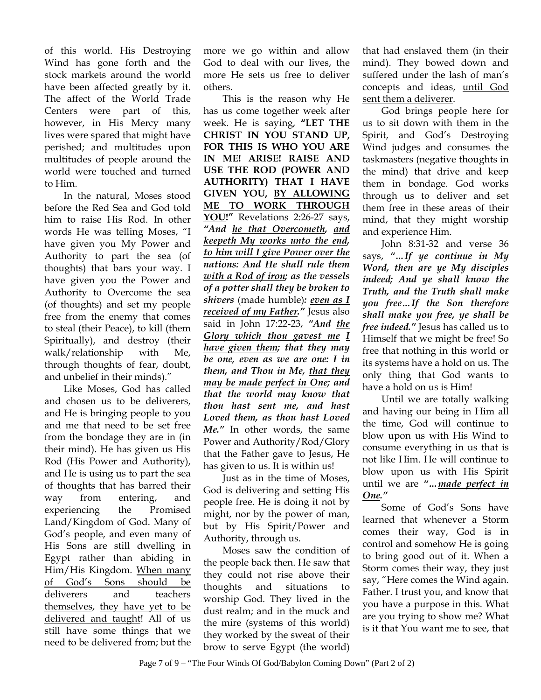of this world. His Destroying Wind has gone forth and the stock markets around the world have been affected greatly by it. The affect of the World Trade Centers were part of this, however, in His Mercy many lives were spared that might have perished; and multitudes upon multitudes of people around the world were touched and turned to Him.

 In the natural, Moses stood before the Red Sea and God told him to raise His Rod. In other words He was telling Moses, "I have given you My Power and Authority to part the sea (of thoughts) that bars your way. I have given you the Power and Authority to Overcome the sea (of thoughts) and set my people free from the enemy that comes to steal (their Peace), to kill (them Spiritually), and destroy (their walk/relationship with Me, through thoughts of fear, doubt, and unbelief in their minds)."

 Like Moses, God has called and chosen us to be deliverers, and He is bringing people to you and me that need to be set free from the bondage they are in (in their mind). He has given us His Rod (His Power and Authority), and He is using us to part the sea of thoughts that has barred their way from entering, and experiencing the Promised Land/Kingdom of God. Many of God's people, and even many of His Sons are still dwelling in Egypt rather than abiding in Him/His Kingdom. When many of God's Sons should be deliverers and teachers themselves, they have yet to be delivered and taught! All of us still have some things that we need to be delivered from; but the

more we go within and allow God to deal with our lives, the more He sets us free to deliver others.

This is the reason why He has us come together week after week. He is saying, **"LET THE CHRIST IN YOU STAND UP, FOR THIS IS WHO YOU ARE IN ME! ARISE! RAISE AND USE THE ROD (POWER AND AUTHORITY) THAT I HAVE GIVEN YOU, BY ALLOWING ME TO WORK THROUGH YOU!"** Revelations 2:26-27 says, *"And he that Overcometh, and keepeth My works unto the end, to him will I give Power over the nations: And He shall rule them with a Rod of iron; as the vessels of a potter shall they be broken to shivers* (made humble)*: even as I received of my Father."* Jesus also said in John 17:22-23, *"And the Glory which thou gavest me I have given them; that they may be one, even as we are one: I in them, and Thou in Me, that they may be made perfect in One; and that the world may know that thou hast sent me, and hast Loved them, as thou hast Loved Me."* In other words, the same Power and Authority/Rod/Glory that the Father gave to Jesus, He has given to us. It is within us!

Just as in the time of Moses, God is delivering and setting His people free. He is doing it not by might, nor by the power of man, but by His Spirit/Power and Authority, through us.

Moses saw the condition of the people back then. He saw that they could not rise above their thoughts and situations to worship God. They lived in the dust realm; and in the muck and the mire (systems of this world) they worked by the sweat of their brow to serve Egypt (the world)

that had enslaved them (in their mind). They bowed down and suffered under the lash of man's concepts and ideas, until God sent them a deliverer.

God brings people here for us to sit down with them in the Spirit, and God's Destroying Wind judges and consumes the taskmasters (negative thoughts in the mind) that drive and keep them in bondage. God works through us to deliver and set them free in these areas of their mind, that they might worship and experience Him.

John 8:31-32 and verse 36 says, *"…If ye continue in My Word, then are ye My disciples indeed; And ye shall know the Truth, and the Truth shall make you free…If the Son therefore shall make you free, ye shall be free indeed."* Jesus has called us to Himself that we might be free! So free that nothing in this world or its systems have a hold on us. The only thing that God wants to have a hold on us is Him!

Until we are totally walking and having our being in Him all the time, God will continue to blow upon us with His Wind to consume everything in us that is not like Him. He will continue to blow upon us with His Spirit until we are *"…made perfect in One."*

Some of God's Sons have learned that whenever a Storm comes their way, God is in control and somehow He is going to bring good out of it. When a Storm comes their way, they just say, "Here comes the Wind again. Father. I trust you, and know that you have a purpose in this. What are you trying to show me? What is it that You want me to see, that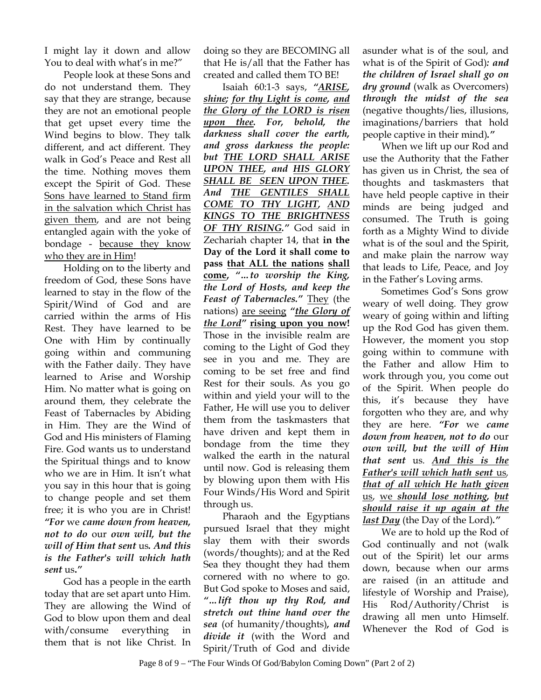I might lay it down and allow You to deal with what's in me?"

People look at these Sons and do not understand them. They say that they are strange, because they are not an emotional people that get upset every time the Wind begins to blow. They talk different, and act different. They walk in God's Peace and Rest all the time. Nothing moves them except the Spirit of God. These Sons have learned to Stand firm in the salvation which Christ has given them, and are not being entangled again with the yoke of bondage - because they know who they are in Him!

Holding on to the liberty and freedom of God, these Sons have learned to stay in the flow of the Spirit/Wind of God and are carried within the arms of His Rest. They have learned to be One with Him by continually going within and communing with the Father daily. They have learned to Arise and Worship Him. No matter what is going on around them, they celebrate the Feast of Tabernacles by Abiding in Him. They are the Wind of God and His ministers of Flaming Fire. God wants us to understand the Spiritual things and to know who we are in Him. It isn't what you say in this hour that is going to change people and set them free; it is who you are in Christ! *"For* we *came down from heaven, not to do* our *own will, but the will of Him that sent* us*. And this is the Father's will which hath sent* us**.***"*

God has a people in the earth today that are set apart unto Him. They are allowing the Wind of God to blow upon them and deal with/consume everything in them that is not like Christ. In

doing so they are BECOMING all that He is/all that the Father has created and called them TO BE!

Isaiah 60:1-3 says, *"ARISE, shine; for thy Light is come, and the Glory of the LORD is risen upon thee. For, behold, the darkness shall cover the earth, and gross darkness the people: but THE LORD SHALL ARISE UPON THEE, and HIS GLORY SHALL BE SEEN UPON THEE. And THE GENTILES SHALL COME TO THY LIGHT, AND KINGS TO THE BRIGHTNESS OF THY RISING."* God said in Zechariah chapter 14, that **in the Day of the Lord it shall come to pass that ALL the nations shall come,** *"…to worship the King, the Lord of Hosts, and keep the Feast of Tabernacles."* They (the nations) are seeing *"the Glory of the Lord"* **rising upon you now!**  Those in the invisible realm are coming to the Light of God they see in you and me. They are coming to be set free and find Rest for their souls. As you go within and yield your will to the Father, He will use you to deliver them from the taskmasters that have driven and kept them in bondage from the time they walked the earth in the natural until now. God is releasing them by blowing upon them with His Four Winds/His Word and Spirit through us.

Pharaoh and the Egyptians pursued Israel that they might slay them with their swords (words/thoughts); and at the Red Sea they thought they had them cornered with no where to go. But God spoke to Moses and said, *"…lift thou up thy Rod, and stretch out thine hand over the sea* (of humanity/thoughts)*, and divide it* (with the Word and Spirit/Truth of God and divide

asunder what is of the soul, and what is of the Spirit of God)*: and the children of Israel shall go on dry ground* (walk as Overcomers) *through the midst of the sea* (negative thoughts/lies, illusions, imaginations/barriers that hold people captive in their mind)*."*

When we lift up our Rod and use the Authority that the Father has given us in Christ, the sea of thoughts and taskmasters that have held people captive in their minds are being judged and consumed. The Truth is going forth as a Mighty Wind to divide what is of the soul and the Spirit, and make plain the narrow way that leads to Life, Peace, and Joy in the Father's Loving arms.

Sometimes God's Sons grow weary of well doing. They grow weary of going within and lifting up the Rod God has given them. However, the moment you stop going within to commune with the Father and allow Him to work through you, you come out of the Spirit. When people do this, it's because they have forgotten who they are, and why they are here. *"For* we *came down from heaven, not to do* our *own will, but the will of Him that sent* us*. And this is the Father's will which hath sent* us*, that of all which He hath given* us, we *should lose nothing, but should raise it up again at the last Day* (the Day of the Lord)*."* 

We are to hold up the Rod of God continually and not (walk out of the Spirit) let our arms down, because when our arms are raised (in an attitude and lifestyle of Worship and Praise), His Rod/Authority/Christ is drawing all men unto Himself. Whenever the Rod of God is